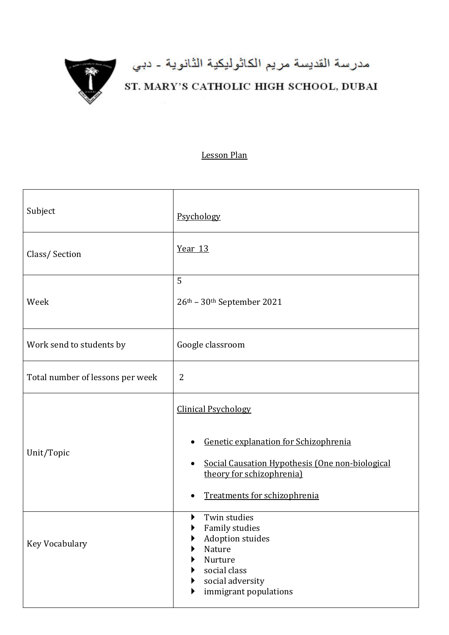

## مدرسة القديسة مريم الكاثوليكية الثانوية - دبي<br>ST. MARY'S CATHOLIC HIGH SCHOOL, DUBAI

## Lesson Plan

| Subject                          | Psychology                                                                                                                                                                          |
|----------------------------------|-------------------------------------------------------------------------------------------------------------------------------------------------------------------------------------|
| Class/Section                    | Year 13                                                                                                                                                                             |
| Week                             | 5<br>26th - 30th September 2021                                                                                                                                                     |
| Work send to students by         | Google classroom                                                                                                                                                                    |
| Total number of lessons per week | $\overline{2}$                                                                                                                                                                      |
| Unit/Topic                       | <b>Clinical Psychology</b><br>Genetic explanation for Schizophrenia<br>Social Causation Hypothesis (One non-biological<br>theory for schizophrenia)<br>Treatments for schizophrenia |
| Key Vocabulary                   | Twin studies<br>Family studies<br><b>Adoption stuides</b><br>Nature<br>Nurture<br>social class<br>social adversity<br>immigrant populations                                         |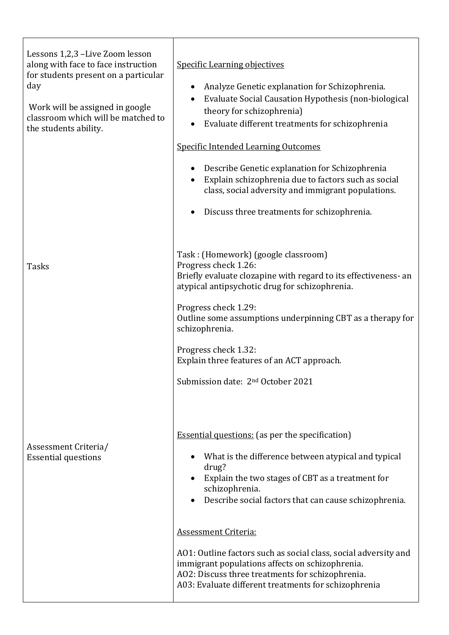| Lessons 1,2,3 -Live Zoom lesson<br>along with face to face instruction<br>for students present on a particular<br>day<br>Work will be assigned in google<br>classroom which will be matched to<br>the students ability. | <b>Specific Learning objectives</b><br>Analyze Genetic explanation for Schizophrenia.<br>Evaluate Social Causation Hypothesis (non-biological<br>theory for schizophrenia)<br>Evaluate different treatments for schizophrenia<br><b>Specific Intended Learning Outcomes</b><br>Describe Genetic explanation for Schizophrenia<br>Explain schizophrenia due to factors such as social<br>class, social adversity and immigrant populations.<br>Discuss three treatments for schizophrenia.                              |
|-------------------------------------------------------------------------------------------------------------------------------------------------------------------------------------------------------------------------|------------------------------------------------------------------------------------------------------------------------------------------------------------------------------------------------------------------------------------------------------------------------------------------------------------------------------------------------------------------------------------------------------------------------------------------------------------------------------------------------------------------------|
| <b>Tasks</b>                                                                                                                                                                                                            | Task: (Homework) (google classroom)<br>Progress check 1.26:<br>Briefly evaluate clozapine with regard to its effectiveness- an<br>atypical antipsychotic drug for schizophrenia.<br>Progress check 1.29:<br>Outline some assumptions underpinning CBT as a therapy for<br>schizophrenia.<br>Progress check 1.32:<br>Explain three features of an ACT approach.<br>Submission date: 2 <sup>nd</sup> October 2021                                                                                                        |
| Assessment Criteria/<br><b>Essential questions</b>                                                                                                                                                                      | <b>Essential questions:</b> (as per the specification)<br>What is the difference between atypical and typical<br>drug?<br>Explain the two stages of CBT as a treatment for<br>schizophrenia.<br>Describe social factors that can cause schizophrenia.<br><b>Assessment Criteria:</b><br>AO1: Outline factors such as social class, social adversity and<br>immigrant populations affects on schizophrenia.<br>AO2: Discuss three treatments for schizophrenia.<br>A03: Evaluate different treatments for schizophrenia |